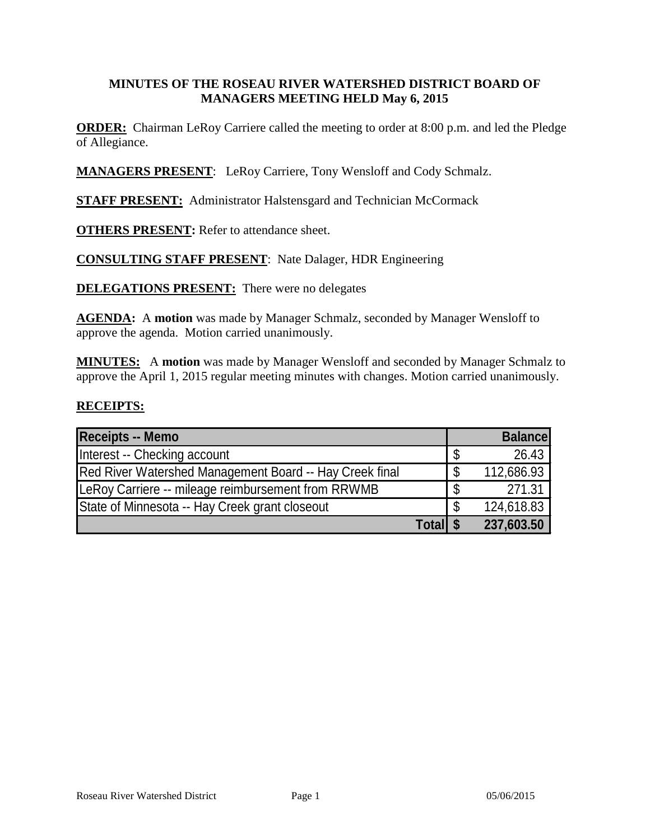#### **MINUTES OF THE ROSEAU RIVER WATERSHED DISTRICT BOARD OF MANAGERS MEETING HELD May 6, 2015**

**ORDER:** Chairman LeRoy Carriere called the meeting to order at 8:00 p.m. and led the Pledge of Allegiance.

**MANAGERS PRESENT**: LeRoy Carriere, Tony Wensloff and Cody Schmalz.

**STAFF PRESENT:** Administrator Halstensgard and Technician McCormack

**OTHERS PRESENT:** Refer to attendance sheet.

**CONSULTING STAFF PRESENT**: Nate Dalager, HDR Engineering

**DELEGATIONS PRESENT:** There were no delegates

**AGENDA:** A **motion** was made by Manager Schmalz, seconded by Manager Wensloff to approve the agenda. Motion carried unanimously.

**MINUTES:** A **motion** was made by Manager Wensloff and seconded by Manager Schmalz to approve the April 1, 2015 regular meeting minutes with changes. Motion carried unanimously.

#### **RECEIPTS:**

| <b>Receipts -- Memo</b>                                 |   | <b>Balance</b> |
|---------------------------------------------------------|---|----------------|
| Interest -- Checking account                            |   | 26.43          |
| Red River Watershed Management Board -- Hay Creek final |   | 112,686.93     |
| LeRoy Carriere -- mileage reimbursement from RRWMB      |   | 271.31         |
| State of Minnesota -- Hay Creek grant closeout          | S | 124,618.83     |
| <b>Totall \$</b>                                        |   | 237,603.50     |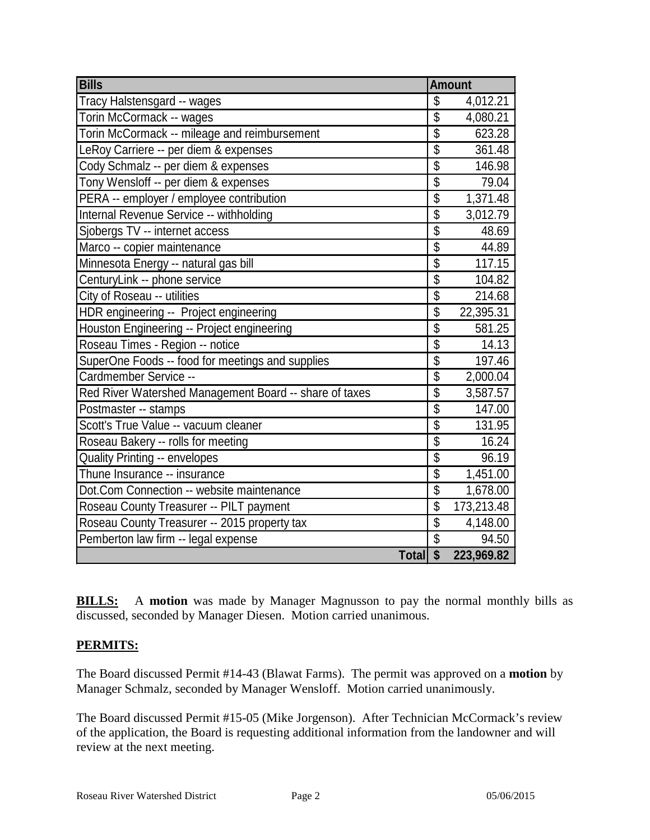| <b>Bills</b>                                           | <b>Amount</b>           |            |
|--------------------------------------------------------|-------------------------|------------|
| Tracy Halstensgard -- wages                            | \$                      | 4,012.21   |
| Torin McCormack -- wages                               | $\overline{\mathbb{S}}$ | 4,080.21   |
| Torin McCormack -- mileage and reimbursement           | $\overline{\$}$         | 623.28     |
| LeRoy Carriere -- per diem & expenses                  | \$                      | 361.48     |
| Cody Schmalz -- per diem & expenses                    | $\overline{\$}$         | 146.98     |
| Tony Wensloff -- per diem & expenses                   | $\overline{\$}$         | 79.04      |
| PERA -- employer / employee contribution               | $\overline{\$}$         | 1,371.48   |
| Internal Revenue Service -- withholding                | $\overline{\$}$         | 3,012.79   |
| Sjobergs TV -- internet access                         | $\overline{\$}$         | 48.69      |
| Marco -- copier maintenance                            | \$                      | 44.89      |
| Minnesota Energy -- natural gas bill                   | $\overline{\$}$         | 117.15     |
| CenturyLink -- phone service                           | $\overline{\$}$         | 104.82     |
| City of Roseau -- utilities                            | $\overline{\$}$         | 214.68     |
| HDR engineering -- Project engineering                 | $\overline{\mathbb{S}}$ | 22,395.31  |
| Houston Engineering -- Project engineering             | $\overline{\$}$         | 581.25     |
| Roseau Times - Region -- notice                        | $\overline{\$}$         | 14.13      |
| SuperOne Foods -- food for meetings and supplies       | $\overline{\$}$         | 197.46     |
| Cardmember Service --                                  | $\overline{\mathbb{S}}$ | 2,000.04   |
| Red River Watershed Management Board -- share of taxes | \$                      | 3,587.57   |
| Postmaster -- stamps                                   | $\overline{\mathbb{S}}$ | 147.00     |
| Scott's True Value -- vacuum cleaner                   | $\overline{\$}$         | 131.95     |
| Roseau Bakery -- rolls for meeting                     | $\overline{\$}$         | 16.24      |
| <b>Quality Printing -- envelopes</b>                   | $\overline{\$}$         | 96.19      |
| Thune Insurance -- insurance                           | $\overline{\$}$         | 1,451.00   |
| Dot.Com Connection -- website maintenance              | $\overline{\$}$         | 1,678.00   |
| Roseau County Treasurer -- PILT payment                | $\overline{\$}$         | 173,213.48 |
| Roseau County Treasurer -- 2015 property tax           | $\overline{\mathbb{S}}$ | 4,148.00   |
| Pemberton law firm -- legal expense                    | $\overline{\$}$         | 94.50      |
| Total \$                                               |                         | 223,969.82 |

**BILLS:** A motion was made by Manager Magnusson to pay the normal monthly bills as discussed, seconded by Manager Diesen. Motion carried unanimous.

### **PERMITS:**

The Board discussed Permit #14-43 (Blawat Farms). The permit was approved on a **motion** by Manager Schmalz, seconded by Manager Wensloff. Motion carried unanimously.

The Board discussed Permit #15-05 (Mike Jorgenson). After Technician McCormack's review of the application, the Board is requesting additional information from the landowner and will review at the next meeting.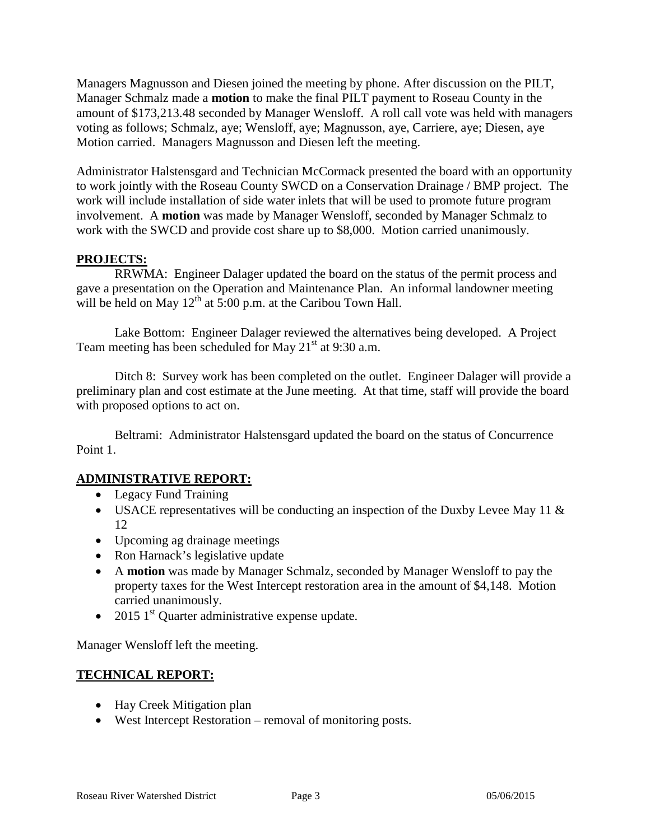Managers Magnusson and Diesen joined the meeting by phone. After discussion on the PILT, Manager Schmalz made a **motion** to make the final PILT payment to Roseau County in the amount of \$173,213.48 seconded by Manager Wensloff. A roll call vote was held with managers voting as follows; Schmalz, aye; Wensloff, aye; Magnusson, aye, Carriere, aye; Diesen, aye Motion carried. Managers Magnusson and Diesen left the meeting.

Administrator Halstensgard and Technician McCormack presented the board with an opportunity to work jointly with the Roseau County SWCD on a Conservation Drainage / BMP project. The work will include installation of side water inlets that will be used to promote future program involvement. A **motion** was made by Manager Wensloff, seconded by Manager Schmalz to work with the SWCD and provide cost share up to \$8,000. Motion carried unanimously.

### **PROJECTS:**

RRWMA: Engineer Dalager updated the board on the status of the permit process and gave a presentation on the Operation and Maintenance Plan. An informal landowner meeting will be held on May  $12^{th}$  at 5:00 p.m. at the Caribou Town Hall.

Lake Bottom: Engineer Dalager reviewed the alternatives being developed. A Project Team meeting has been scheduled for May  $21<sup>st</sup>$  at 9:30 a.m.

Ditch 8: Survey work has been completed on the outlet. Engineer Dalager will provide a preliminary plan and cost estimate at the June meeting. At that time, staff will provide the board with proposed options to act on.

Beltrami: Administrator Halstensgard updated the board on the status of Concurrence Point 1.

# **ADMINISTRATIVE REPORT:**

- Legacy Fund Training
- USACE representatives will be conducting an inspection of the Duxby Levee May 11 & 12
- Upcoming ag drainage meetings
- Ron Harnack's legislative update
- A **motion** was made by Manager Schmalz, seconded by Manager Wensloff to pay the property taxes for the West Intercept restoration area in the amount of \$4,148. Motion carried unanimously.
- 2015  $1<sup>st</sup>$  Quarter administrative expense update.

Manager Wensloff left the meeting.

# **TECHNICAL REPORT:**

- Hay Creek Mitigation plan
- West Intercept Restoration removal of monitoring posts.